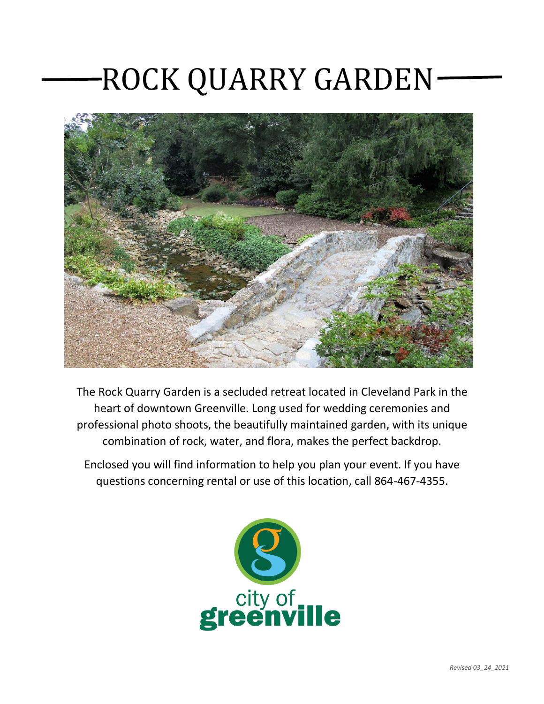## ROCK QUARRY GARDEN



The Rock Quarry Garden is a secluded retreat located in Cleveland Park in the heart of downtown Greenville. Long used for wedding ceremonies and professional photo shoots, the beautifully maintained garden, with its unique combination of rock, water, and flora, makes the perfect backdrop.

Enclosed you will find information to help you plan your event. If you have questions concerning rental or use of this location, call 864-467-4355.

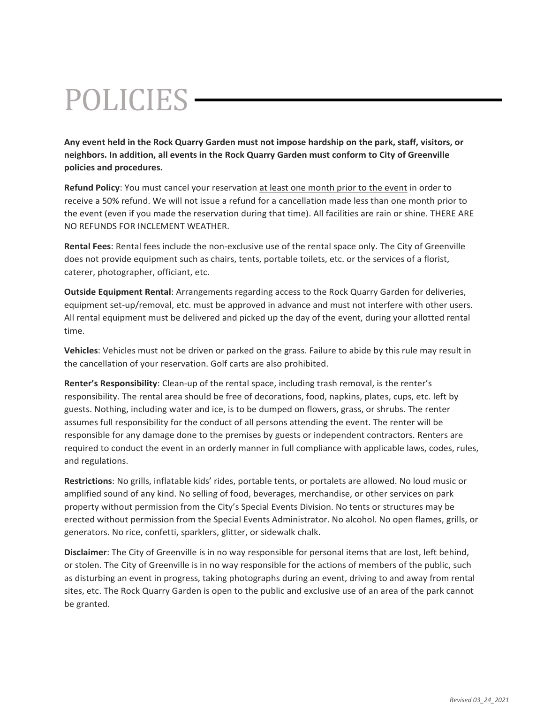# POLICIES

**Any event held in the Rock Quarry Garden must not impose hardship on the park, staff, visitors, or neighbors. In addition, all events in the Rock Quarry Garden must conform to City of Greenville policies and procedures.**

**Refund Policy**: You must cancel your reservation at least one month prior to the event in order to receive a 50% refund. We will not issue a refund for a cancellation made less than one month prior to the event (even if you made the reservation during that time). All facilities are rain or shine. THERE ARE NO REFUNDS FOR INCLEMENT WEATHER.

**Rental Fees**: Rental fees include the non-exclusive use of the rental space only. The City of Greenville does not provide equipment such as chairs, tents, portable toilets, etc. or the services of a florist, caterer, photographer, officiant, etc.

**Outside Equipment Rental**: Arrangements regarding access to the Rock Quarry Garden for deliveries, equipment set-up/removal, etc. must be approved in advance and must not interfere with other users. All rental equipment must be delivered and picked up the day of the event, during your allotted rental time.

**Vehicles**: Vehicles must not be driven or parked on the grass. Failure to abide by this rule may result in the cancellation of your reservation. Golf carts are also prohibited.

**Renter's Responsibility**: Clean-up of the rental space, including trash removal, is the renter's responsibility. The rental area should be free of decorations, food, napkins, plates, cups, etc. left by guests. Nothing, including water and ice, is to be dumped on flowers, grass, or shrubs. The renter assumes full responsibility for the conduct of all persons attending the event. The renter will be responsible for any damage done to the premises by guests or independent contractors. Renters are required to conduct the event in an orderly manner in full compliance with applicable laws, codes, rules, and regulations.

**Restrictions**: No grills, inflatable kids' rides, portable tents, or portalets are allowed. No loud music or amplified sound of any kind. No selling of food, beverages, merchandise, or other services on park property without permission from the City's Special Events Division. No tents or structures may be erected without permission from the Special Events Administrator. No alcohol. No open flames, grills, or generators. No rice, confetti, sparklers, glitter, or sidewalk chalk.

**Disclaimer**: The City of Greenville is in no way responsible for personal items that are lost, left behind, or stolen. The City of Greenville is in no way responsible for the actions of members of the public, such as disturbing an event in progress, taking photographs during an event, driving to and away from rental sites, etc. The Rock Quarry Garden is open to the public and exclusive use of an area of the park cannot be granted.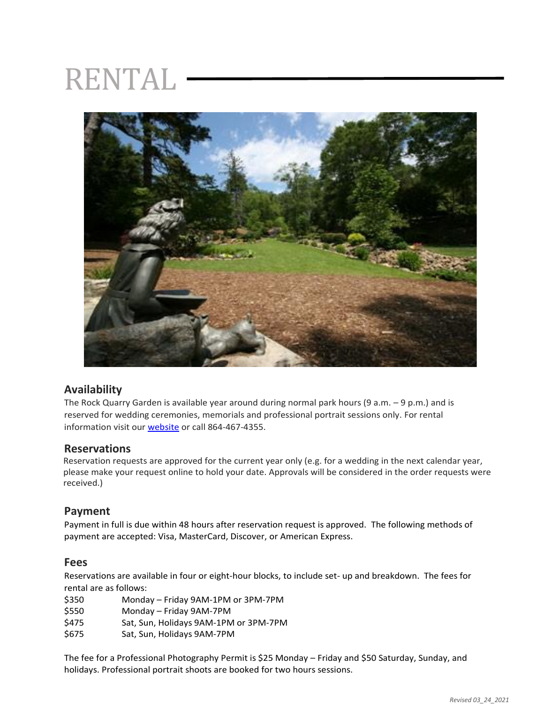## RENTAL



### **Availability**

The Rock Quarry Garden is available year around during normal park hours (9 a.m. – 9 p.m.) and is reserved for wedding ceremonies, memorials and professional portrait sessions only. For rental information visit our [website](https://secure.rec1.com/SC/greenville-sc/catalog/index/011c2224fbe06db1c4b9d124fdb9fa2c?filter=c2VhcmNoPSZsb2NhdGlvbiU1QjEzMTY4JTVEPTE=) or call 864-467-4355.

#### **Reservations**

Reservation requests are approved for the current year only (e.g. for a wedding in the next calendar year, please make your request online to hold your date. Approvals will be considered in the order requests were received.)

#### **Payment**

Payment in full is due within 48 hours after reservation request is approved. The following methods of payment are accepted: Visa, MasterCard, Discover, or American Express.

#### **Fees**

Reservations are available in four or eight-hour blocks, to include set- up and breakdown. The fees for rental are as follows:

| \$350 | Monday - Friday 9AM-1PM or 3PM-7PM    |
|-------|---------------------------------------|
| \$550 | Monday - Friday 9AM-7PM               |
| \$475 | Sat, Sun, Holidays 9AM-1PM or 3PM-7PM |
| \$675 | Sat, Sun, Holidays 9AM-7PM            |

The fee for a Professional Photography Permit is \$25 Monday – Friday and \$50 Saturday, Sunday, and holidays. Professional portrait shoots are booked for two hours sessions.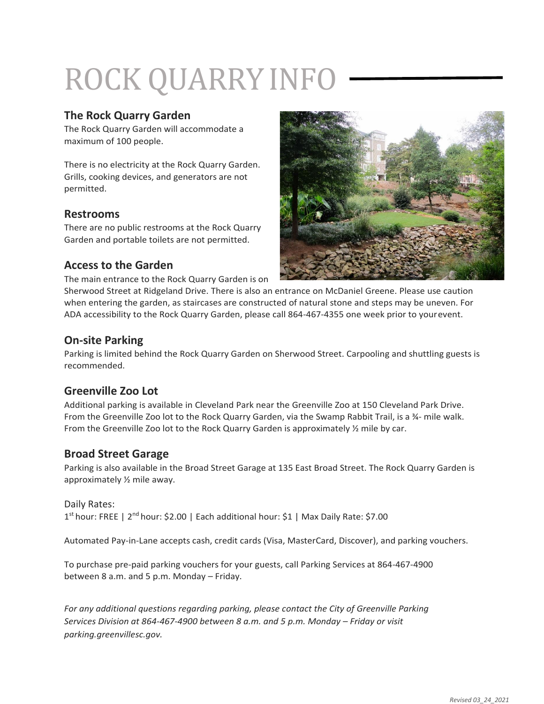# ROCK QUARRYINFO

#### **The Rock Quarry Garden**

The Rock Quarry Garden will accommodate a maximum of 100 people.

There is no electricity at the Rock Quarry Garden. Grills, cooking devices, and generators are not permitted.

### **Restrooms**

There are no public restrooms at the Rock Quarry Garden and portable toilets are not permitted.

#### **Access to the Garden**

The main entrance to the Rock Quarry Garden is on



Sherwood Street at Ridgeland Drive. There is also an entrance on McDaniel Greene. Please use caution when entering the garden, as staircases are constructed of natural stone and steps may be uneven. For ADA accessibility to the Rock Quarry Garden, please call 864-467-4355 one week prior to yourevent.

#### **On-site Parking**

Parking is limited behind the Rock Quarry Garden on Sherwood Street. Carpooling and shuttling guests is recommended.

### **Greenville Zoo Lot**

Additional parking is available in Cleveland Park near the Greenville Zoo at 150 Cleveland Park Drive. From the Greenville Zoo lot to the Rock Quarry Garden, via the Swamp Rabbit Trail, is a ¾- mile walk. From the Greenville Zoo lot to the Rock Quarry Garden is approximately ½ mile by car.

### **Broad Street Garage**

Parking is also available in the Broad Street Garage at 135 East Broad Street. The Rock Quarry Garden is approximately ½ mile away.

#### Daily Rates: 1<sup>st</sup> hour: FREE | 2<sup>nd</sup> hour: \$2.00 | Each additional hour: \$1 | Max Daily Rate: \$7.00

Automated Pay-in-Lane accepts cash, credit cards (Visa, MasterCard, Discover), and parking vouchers.

To purchase pre-paid parking vouchers for your guests, call Parking Services at 864-467-4900 between 8 a.m. and 5 p.m. Monday – Friday.

*For any additional questions regarding parking, please contact the City of Greenville Parking Services Division at 864-467-4900 between 8 a.m. and 5 p.m. Monday – Friday or visit parking.greenvillesc.gov.*